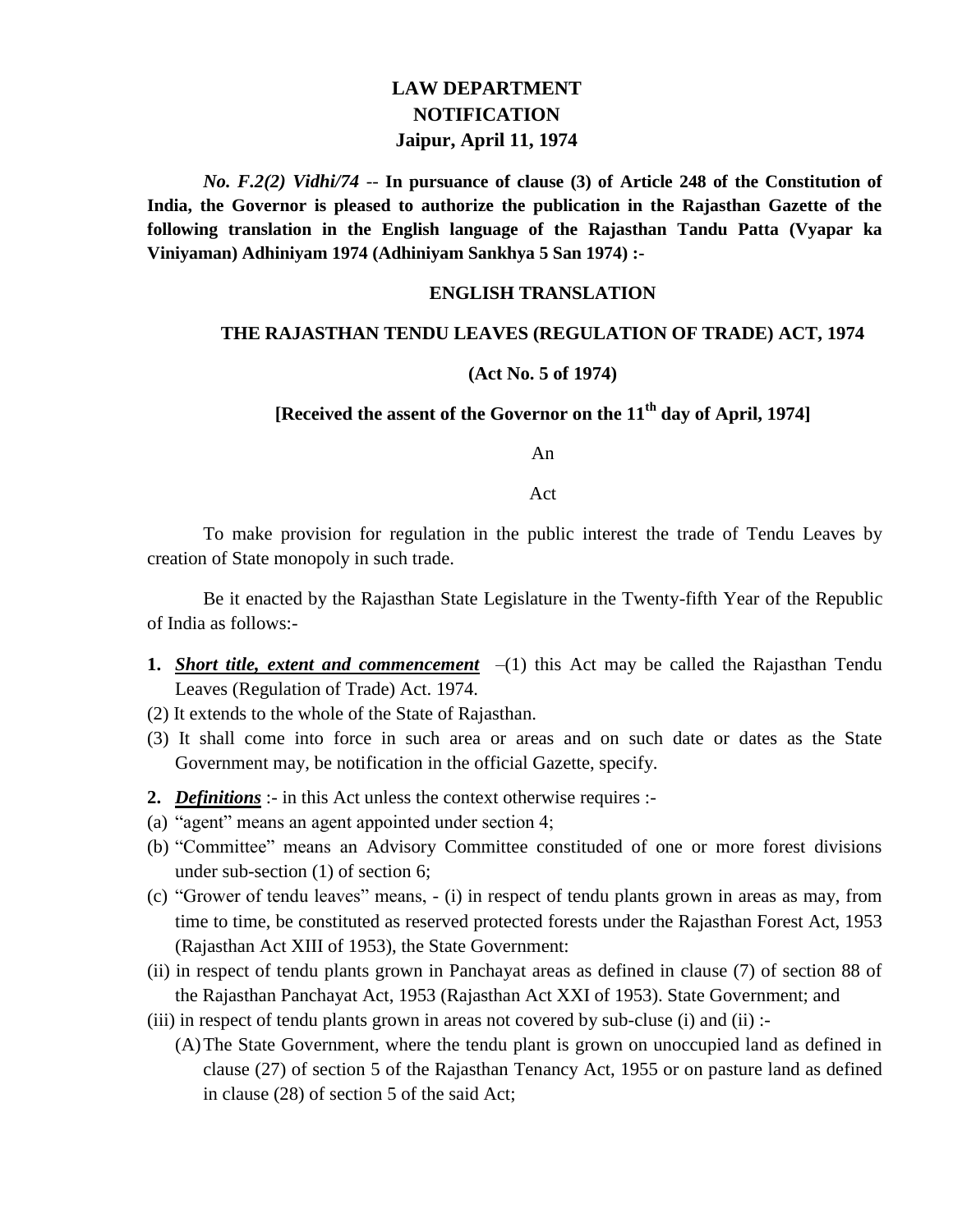## **LAW DEPARTMENT NOTIFICATION Jaipur, April 11, 1974**

*No. F.2(2) Vidhi/74* -- **In pursuance of clause (3) of Article 248 of the Constitution of India, the Governor is pleased to authorize the publication in the Rajasthan Gazette of the following translation in the English language of the Rajasthan Tandu Patta (Vyapar ka Viniyaman) Adhiniyam 1974 (Adhiniyam Sankhya 5 San 1974) :-**

### **ENGLISH TRANSLATION**

#### **THE RAJASTHAN TENDU LEAVES (REGULATION OF TRADE) ACT, 1974**

#### **(Act No. 5 of 1974)**

## **[Received the assent of the Governor on the 11th day of April, 1974]**

An

Act

To make provision for regulation in the public interest the trade of Tendu Leaves by creation of State monopoly in such trade.

Be it enacted by the Rajasthan State Legislature in the Twenty-fifth Year of the Republic of India as follows:-

- **1.** *Short title, extent and commencement*  $-(1)$  this Act may be called the Rajasthan Tendu Leaves (Regulation of Trade) Act. 1974.
- (2) It extends to the whole of the State of Rajasthan.
- (3) It shall come into force in such area or areas and on such date or dates as the State Government may, be notification in the official Gazette, specify.
- **2.** *Definitions* :- in this Act unless the context otherwise requires :-
- (a) "agent" means an agent appointed under section 4;
- (b) "Committee" means an Advisory Committee constituded of one or more forest divisions under sub-section (1) of section 6;
- (c) "Grower of tendu leaves" means, (i) in respect of tendu plants grown in areas as may, from time to time, be constituted as reserved protected forests under the Rajasthan Forest Act, 1953 (Rajasthan Act XIII of 1953), the State Government:
- (ii) in respect of tendu plants grown in Panchayat areas as defined in clause (7) of section 88 of the Rajasthan Panchayat Act, 1953 (Rajasthan Act XXI of 1953). State Government; and
- (iii) in respect of tendu plants grown in areas not covered by sub-cluse (i) and (ii) :-
	- (A)The State Government, where the tendu plant is grown on unoccupied land as defined in clause (27) of section 5 of the Rajasthan Tenancy Act, 1955 or on pasture land as defined in clause (28) of section 5 of the said Act;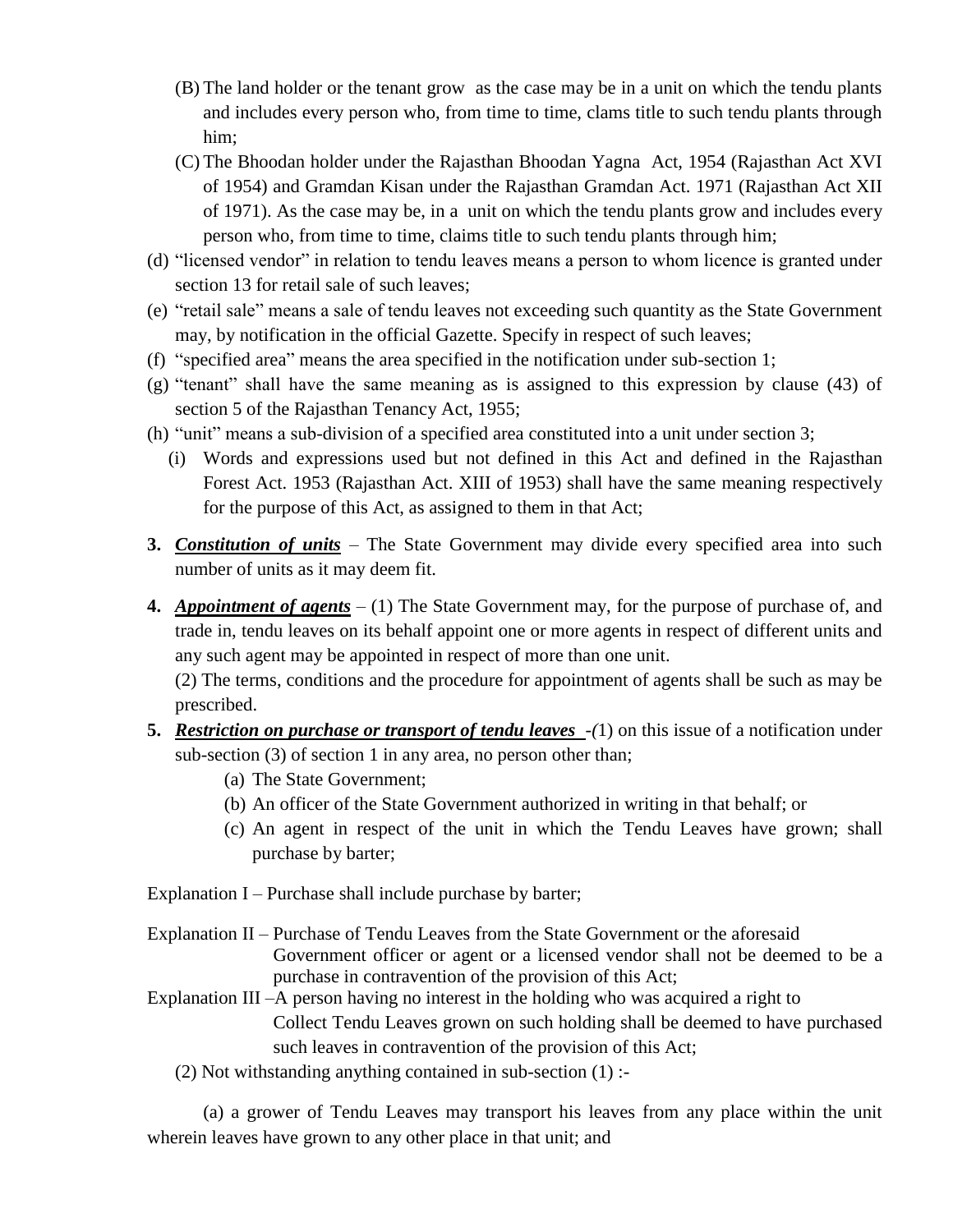- (B) The land holder or the tenant grow as the case may be in a unit on which the tendu plants and includes every person who, from time to time, clams title to such tendu plants through him;
- (C) The Bhoodan holder under the Rajasthan Bhoodan Yagna Act, 1954 (Rajasthan Act XVI of 1954) and Gramdan Kisan under the Rajasthan Gramdan Act. 1971 (Rajasthan Act XII of 1971). As the case may be, in a unit on which the tendu plants grow and includes every person who, from time to time, claims title to such tendu plants through him;
- (d) "licensed vendor" in relation to tendu leaves means a person to whom licence is granted under section 13 for retail sale of such leaves;
- (e) "retail sale" means a sale of tendu leaves not exceeding such quantity as the State Government may, by notification in the official Gazette. Specify in respect of such leaves;
- (f) "specified area" means the area specified in the notification under sub-section 1;
- (g) "tenant" shall have the same meaning as is assigned to this expression by clause (43) of section 5 of the Rajasthan Tenancy Act, 1955;
- (h) "unit" means a sub-division of a specified area constituted into a unit under section 3;
	- (i) Words and expressions used but not defined in this Act and defined in the Rajasthan Forest Act. 1953 (Rajasthan Act. XIII of 1953) shall have the same meaning respectively for the purpose of this Act, as assigned to them in that Act;
- **3.** *Constitution of units* The State Government may divide every specified area into such number of units as it may deem fit.
- **4.** *Appointment of agents* (1) The State Government may, for the purpose of purchase of, and trade in, tendu leaves on its behalf appoint one or more agents in respect of different units and any such agent may be appointed in respect of more than one unit.

(2) The terms, conditions and the procedure for appointment of agents shall be such as may be prescribed.

- **5.** *Restriction on purchase or transport of tendu leaves -(*1) on this issue of a notification under sub-section (3) of section 1 in any area, no person other than;
	- (a) The State Government;
	- (b) An officer of the State Government authorized in writing in that behalf; or
	- (c) An agent in respect of the unit in which the Tendu Leaves have grown; shall purchase by barter;

Explanation I – Purchase shall include purchase by barter;

- Explanation II Purchase of Tendu Leaves from the State Government or the aforesaid Government officer or agent or a licensed vendor shall not be deemed to be a purchase in contravention of the provision of this Act;
- Explanation III –A person having no interest in the holding who was acquired a right to Collect Tendu Leaves grown on such holding shall be deemed to have purchased such leaves in contravention of the provision of this Act;
	- (2) Not withstanding anything contained in sub-section  $(1)$ :

(a) a grower of Tendu Leaves may transport his leaves from any place within the unit wherein leaves have grown to any other place in that unit; and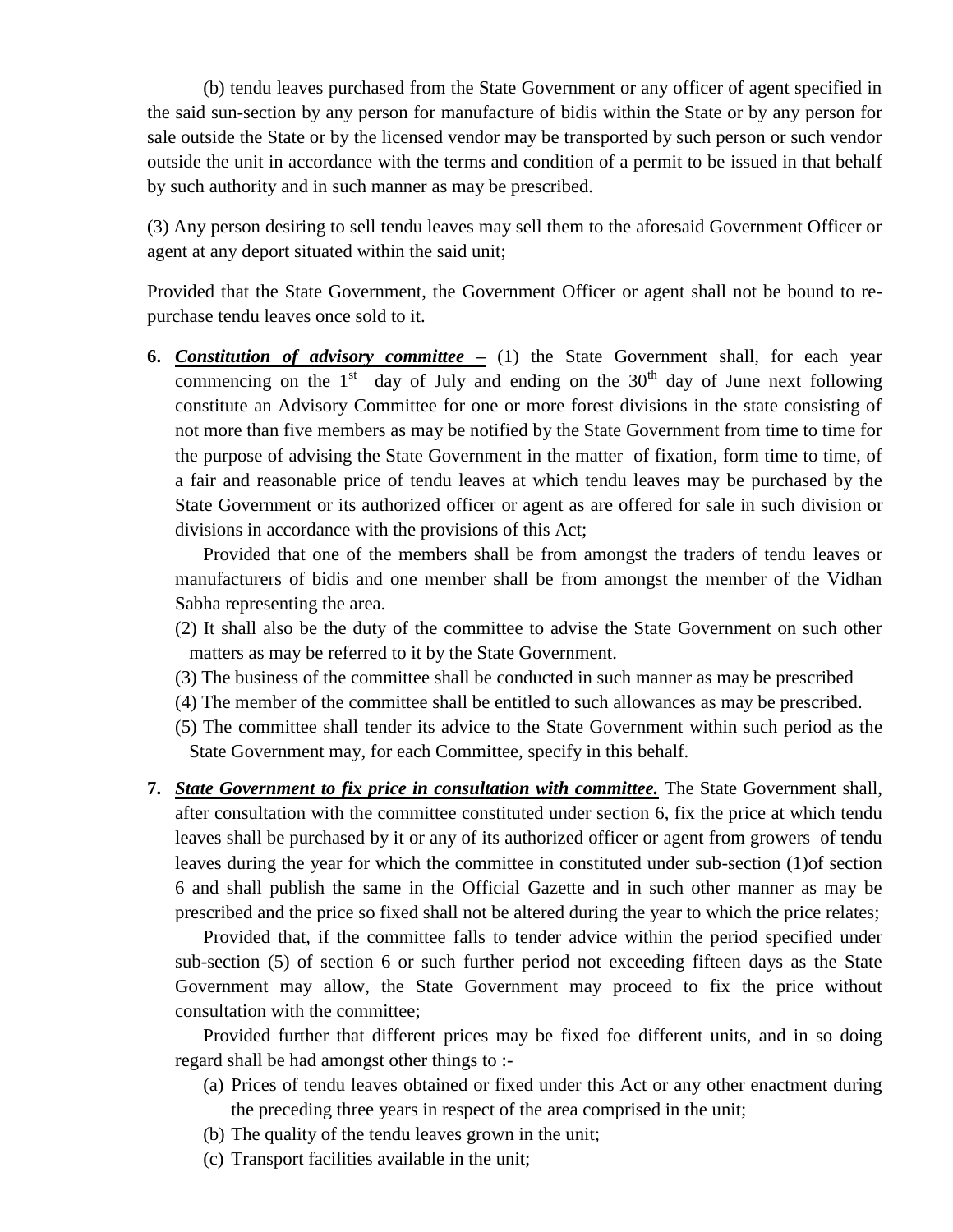(b) tendu leaves purchased from the State Government or any officer of agent specified in the said sun-section by any person for manufacture of bidis within the State or by any person for sale outside the State or by the licensed vendor may be transported by such person or such vendor outside the unit in accordance with the terms and condition of a permit to be issued in that behalf by such authority and in such manner as may be prescribed.

(3) Any person desiring to sell tendu leaves may sell them to the aforesaid Government Officer or agent at any deport situated within the said unit;

Provided that the State Government, the Government Officer or agent shall not be bound to repurchase tendu leaves once sold to it.

**6.** *Constitution of advisory committee –* (1) the State Government shall, for each year commencing on the  $1<sup>st</sup>$  day of July and ending on the  $30<sup>th</sup>$  day of June next following constitute an Advisory Committee for one or more forest divisions in the state consisting of not more than five members as may be notified by the State Government from time to time for the purpose of advising the State Government in the matter of fixation, form time to time, of a fair and reasonable price of tendu leaves at which tendu leaves may be purchased by the State Government or its authorized officer or agent as are offered for sale in such division or divisions in accordance with the provisions of this Act;

Provided that one of the members shall be from amongst the traders of tendu leaves or manufacturers of bidis and one member shall be from amongst the member of the Vidhan Sabha representing the area.

- (2) It shall also be the duty of the committee to advise the State Government on such other matters as may be referred to it by the State Government.
- (3) The business of the committee shall be conducted in such manner as may be prescribed
- (4) The member of the committee shall be entitled to such allowances as may be prescribed.
- (5) The committee shall tender its advice to the State Government within such period as the State Government may, for each Committee, specify in this behalf.
- **7.** *State Government to fix price in consultation with committee.* The State Government shall, after consultation with the committee constituted under section 6, fix the price at which tendu leaves shall be purchased by it or any of its authorized officer or agent from growers of tendu leaves during the year for which the committee in constituted under sub-section (1)of section 6 and shall publish the same in the Official Gazette and in such other manner as may be prescribed and the price so fixed shall not be altered during the year to which the price relates;

Provided that, if the committee falls to tender advice within the period specified under sub-section (5) of section 6 or such further period not exceeding fifteen days as the State Government may allow, the State Government may proceed to fix the price without consultation with the committee;

Provided further that different prices may be fixed foe different units, and in so doing regard shall be had amongst other things to :-

- (a) Prices of tendu leaves obtained or fixed under this Act or any other enactment during the preceding three years in respect of the area comprised in the unit;
- (b) The quality of the tendu leaves grown in the unit;
- (c) Transport facilities available in the unit;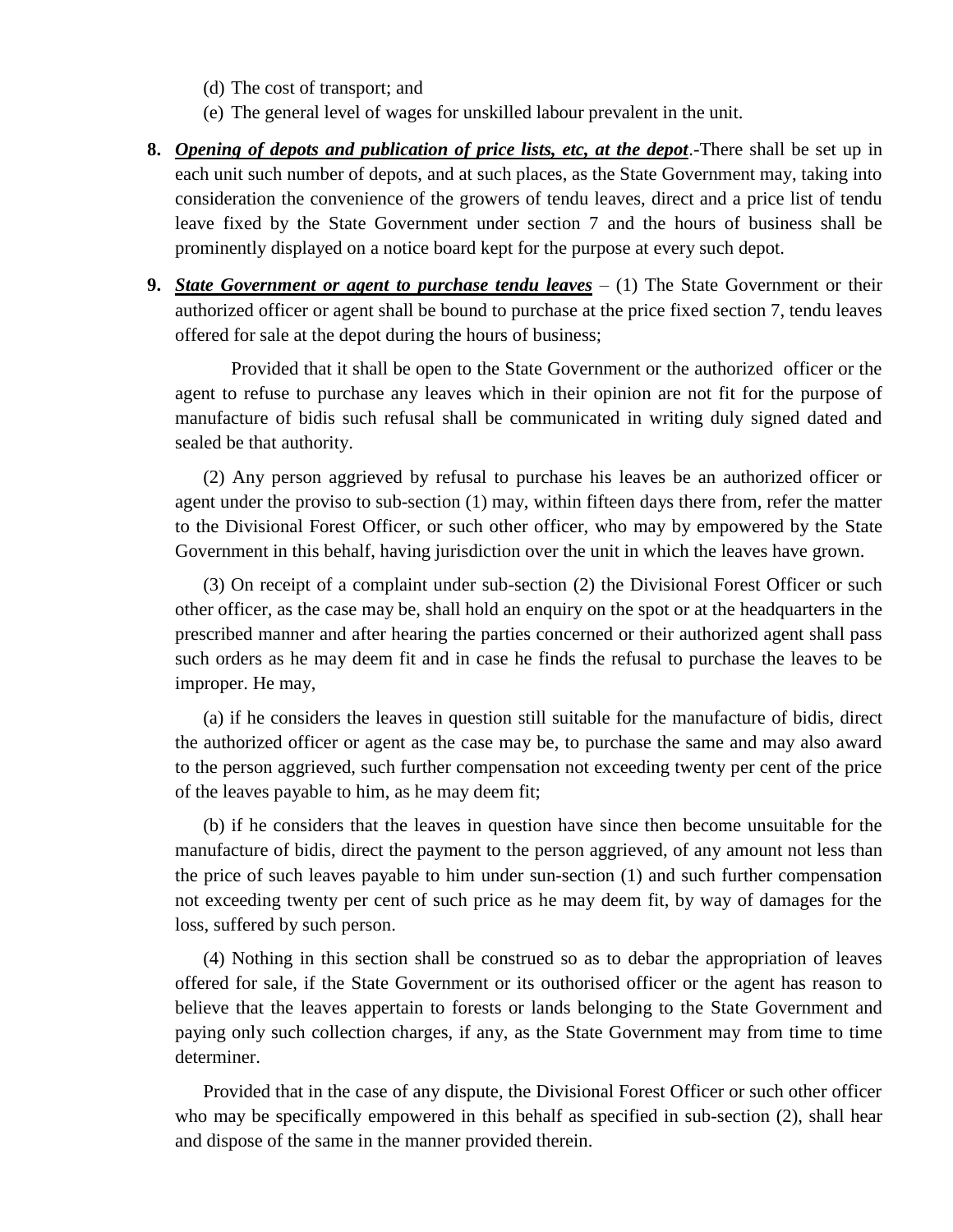- (d) The cost of transport; and
- (e) The general level of wages for unskilled labour prevalent in the unit.
- **8.** *Opening of depots and publication of price lists, etc, at the depot*.-There shall be set up in each unit such number of depots, and at such places, as the State Government may, taking into consideration the convenience of the growers of tendu leaves, direct and a price list of tendu leave fixed by the State Government under section 7 and the hours of business shall be prominently displayed on a notice board kept for the purpose at every such depot.
- **9.** *State Government or agent to purchase tendu leaves* (1) The State Government or their authorized officer or agent shall be bound to purchase at the price fixed section 7, tendu leaves offered for sale at the depot during the hours of business;

Provided that it shall be open to the State Government or the authorized officer or the agent to refuse to purchase any leaves which in their opinion are not fit for the purpose of manufacture of bidis such refusal shall be communicated in writing duly signed dated and sealed be that authority.

(2) Any person aggrieved by refusal to purchase his leaves be an authorized officer or agent under the proviso to sub-section (1) may, within fifteen days there from, refer the matter to the Divisional Forest Officer, or such other officer, who may by empowered by the State Government in this behalf, having jurisdiction over the unit in which the leaves have grown.

(3) On receipt of a complaint under sub-section (2) the Divisional Forest Officer or such other officer, as the case may be, shall hold an enquiry on the spot or at the headquarters in the prescribed manner and after hearing the parties concerned or their authorized agent shall pass such orders as he may deem fit and in case he finds the refusal to purchase the leaves to be improper. He may,

(a) if he considers the leaves in question still suitable for the manufacture of bidis, direct the authorized officer or agent as the case may be, to purchase the same and may also award to the person aggrieved, such further compensation not exceeding twenty per cent of the price of the leaves payable to him, as he may deem fit;

(b) if he considers that the leaves in question have since then become unsuitable for the manufacture of bidis, direct the payment to the person aggrieved, of any amount not less than the price of such leaves payable to him under sun-section (1) and such further compensation not exceeding twenty per cent of such price as he may deem fit, by way of damages for the loss, suffered by such person.

(4) Nothing in this section shall be construed so as to debar the appropriation of leaves offered for sale, if the State Government or its outhorised officer or the agent has reason to believe that the leaves appertain to forests or lands belonging to the State Government and paying only such collection charges, if any, as the State Government may from time to time determiner.

Provided that in the case of any dispute, the Divisional Forest Officer or such other officer who may be specifically empowered in this behalf as specified in sub-section (2), shall hear and dispose of the same in the manner provided therein.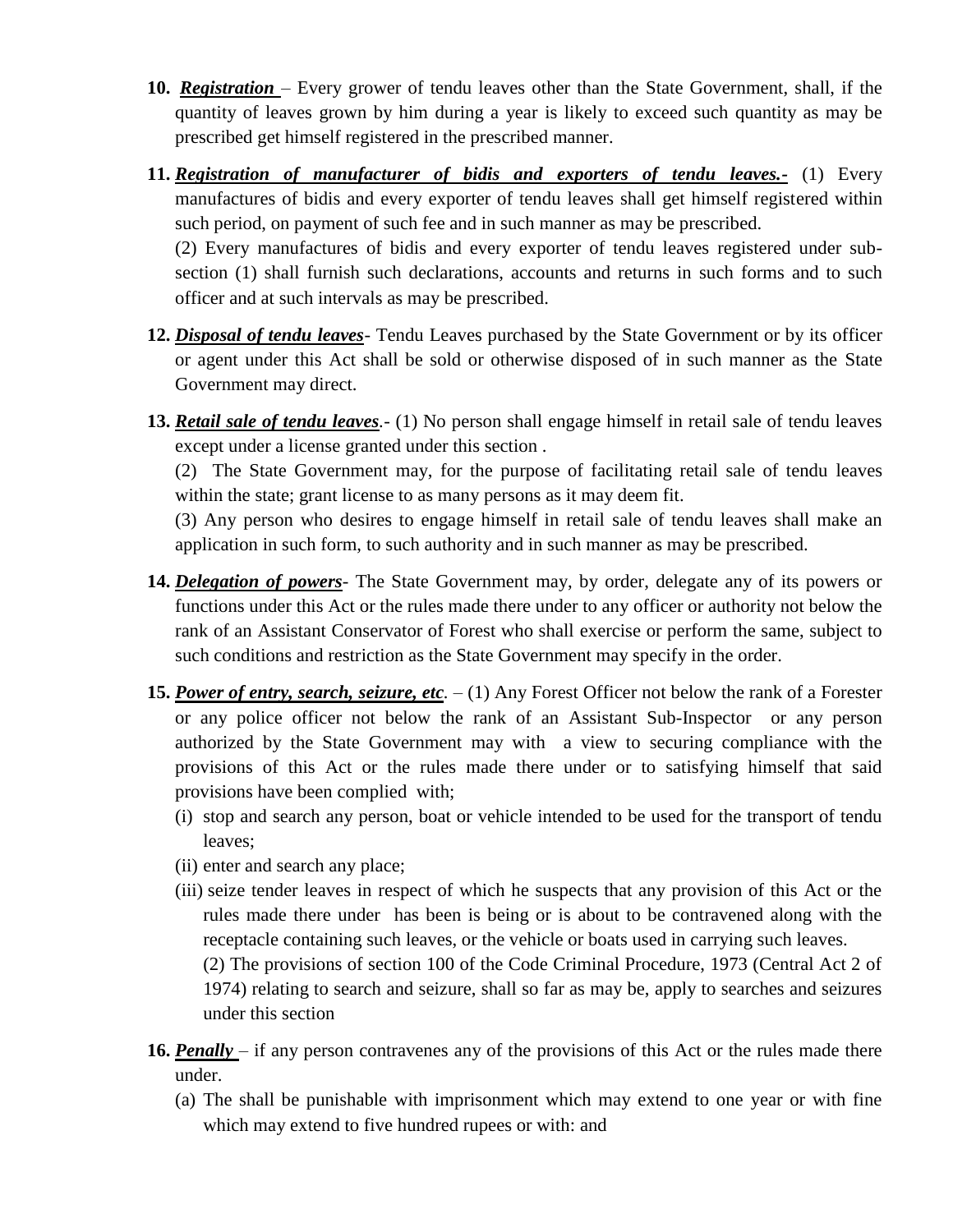- **10.** *Registration*  Every grower of tendu leaves other than the State Government, shall, if the quantity of leaves grown by him during a year is likely to exceed such quantity as may be prescribed get himself registered in the prescribed manner.
- **11.** *Registration of manufacturer of bidis and exporters of tendu leaves.-* (1) Every manufactures of bidis and every exporter of tendu leaves shall get himself registered within such period, on payment of such fee and in such manner as may be prescribed.

(2) Every manufactures of bidis and every exporter of tendu leaves registered under subsection (1) shall furnish such declarations, accounts and returns in such forms and to such officer and at such intervals as may be prescribed.

- **12.** *Disposal of tendu leaves* Tendu Leaves purchased by the State Government or by its officer or agent under this Act shall be sold or otherwise disposed of in such manner as the State Government may direct.
- **13.** *Retail sale of tendu leaves.-* (1) No person shall engage himself in retail sale of tendu leaves except under a license granted under this section .

(2) The State Government may, for the purpose of facilitating retail sale of tendu leaves within the state; grant license to as many persons as it may deem fit.

(3) Any person who desires to engage himself in retail sale of tendu leaves shall make an application in such form, to such authority and in such manner as may be prescribed.

- **14.** *Delegation of powers-* The State Government may, by order, delegate any of its powers or functions under this Act or the rules made there under to any officer or authority not below the rank of an Assistant Conservator of Forest who shall exercise or perform the same, subject to such conditions and restriction as the State Government may specify in the order.
- **15.** *Power of entry, search, seizure, etc.* (1) Any Forest Officer not below the rank of a Forester or any police officer not below the rank of an Assistant Sub-Inspector or any person authorized by the State Government may with a view to securing compliance with the provisions of this Act or the rules made there under or to satisfying himself that said provisions have been complied with;
	- (i) stop and search any person, boat or vehicle intended to be used for the transport of tendu leaves;
	- (ii) enter and search any place;
	- (iii) seize tender leaves in respect of which he suspects that any provision of this Act or the rules made there under has been is being or is about to be contravened along with the receptacle containing such leaves, or the vehicle or boats used in carrying such leaves.

(2) The provisions of section 100 of the Code Criminal Procedure, 1973 (Central Act 2 of 1974) relating to search and seizure, shall so far as may be, apply to searches and seizures under this section

- **16.** *Penally –* if any person contravenes any of the provisions of this Act or the rules made there under.
	- (a) The shall be punishable with imprisonment which may extend to one year or with fine which may extend to five hundred rupees or with: and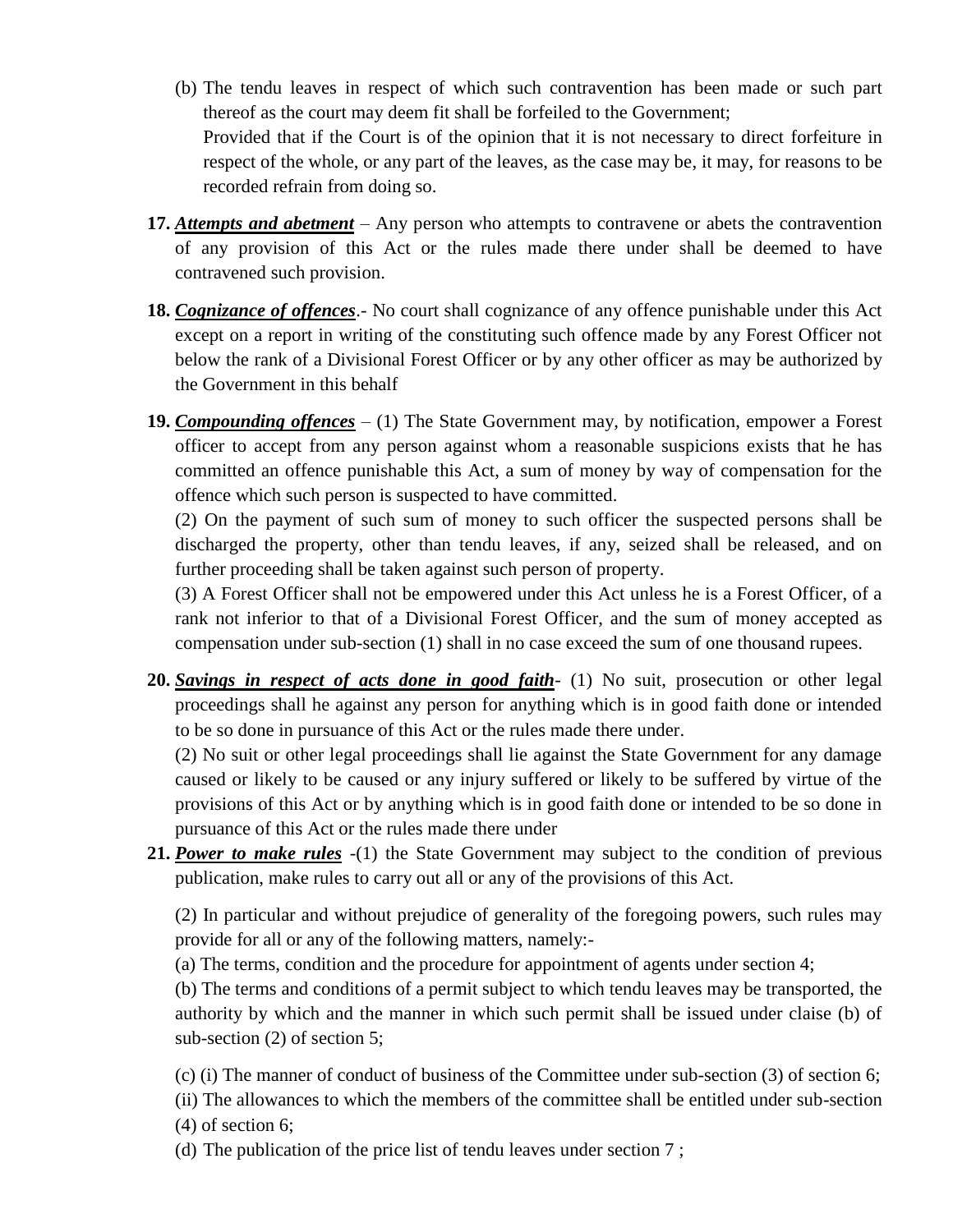- (b) The tendu leaves in respect of which such contravention has been made or such part thereof as the court may deem fit shall be forfeiled to the Government; Provided that if the Court is of the opinion that it is not necessary to direct forfeiture in respect of the whole, or any part of the leaves, as the case may be, it may, for reasons to be recorded refrain from doing so.
- **17.** *Attempts and abetment* Any person who attempts to contravene or abets the contravention of any provision of this Act or the rules made there under shall be deemed to have contravened such provision.
- **18.** *Cognizance of offences*.- No court shall cognizance of any offence punishable under this Act except on a report in writing of the constituting such offence made by any Forest Officer not below the rank of a Divisional Forest Officer or by any other officer as may be authorized by the Government in this behalf
- **19.** *Compounding offences* (1) The State Government may, by notification, empower a Forest officer to accept from any person against whom a reasonable suspicions exists that he has committed an offence punishable this Act, a sum of money by way of compensation for the offence which such person is suspected to have committed.

(2) On the payment of such sum of money to such officer the suspected persons shall be discharged the property, other than tendu leaves, if any, seized shall be released, and on further proceeding shall be taken against such person of property.

(3) A Forest Officer shall not be empowered under this Act unless he is a Forest Officer, of a rank not inferior to that of a Divisional Forest Officer, and the sum of money accepted as compensation under sub-section (1) shall in no case exceed the sum of one thousand rupees.

**20.** *Savings in respect of acts done in good faith*- (1) No suit, prosecution or other legal proceedings shall he against any person for anything which is in good faith done or intended to be so done in pursuance of this Act or the rules made there under.

(2) No suit or other legal proceedings shall lie against the State Government for any damage caused or likely to be caused or any injury suffered or likely to be suffered by virtue of the provisions of this Act or by anything which is in good faith done or intended to be so done in pursuance of this Act or the rules made there under

**21.** *Power to make rules* -(1) the State Government may subject to the condition of previous publication, make rules to carry out all or any of the provisions of this Act.

(2) In particular and without prejudice of generality of the foregoing powers, such rules may provide for all or any of the following matters, namely:-

(a) The terms, condition and the procedure for appointment of agents under section 4;

(b) The terms and conditions of a permit subject to which tendu leaves may be transported, the authority by which and the manner in which such permit shall be issued under claise (b) of sub-section (2) of section 5;

(c) (i) The manner of conduct of business of the Committee under sub-section (3) of section 6;

(ii) The allowances to which the members of the committee shall be entitled under sub-section (4) of section 6;

(d) The publication of the price list of tendu leaves under section 7 ;